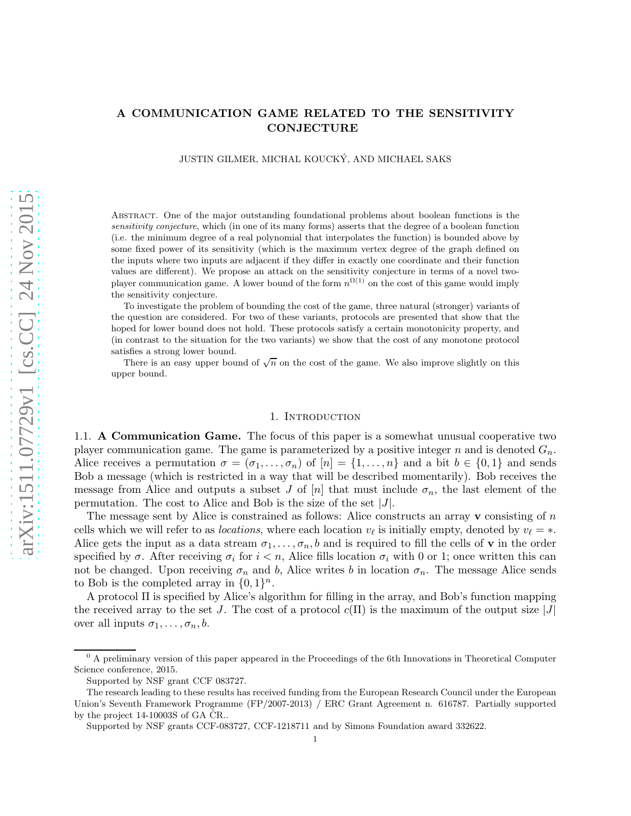# A COMMUNICATION GAME RELATED TO THE SENSITIVITY **CONJECTURE**

JUSTIN GILMER, MICHAL KOUCKY, AND MICHAEL SAKS ´

Abstract. One of the major outstanding foundational problems about boolean functions is the sensitivity conjecture, which (in one of its many forms) asserts that the degree of a boolean function (i.e. the minimum degree of a real polynomial that interpolates the function) is bounded above by some fixed power of its sensitivity (which is the maximum vertex degree of the graph defined on the inputs where two inputs are adjacent if they differ in exactly one coordinate and their function values are different). We propose an attack on the sensitivity conjecture in terms of a novel twoplayer communication game. A lower bound of the form  $n^{\Omega(1)}$  on the cost of this game would imply the sensitivity conjecture.

To investigate the problem of bounding the cost of the game, three natural (stronger) variants of the question are considered. For two of these variants, protocols are presented that show that the hoped for lower bound does not hold. These protocols satisfy a certain monotonicity property, and (in contrast to the situation for the two variants) we show that the cost of any monotone protocol satisfies a strong lower bound.

There is an easy upper bound of  $\sqrt{n}$  on the cost of the game. We also improve slightly on this upper bound.

### 1. Introduction

1.1. A Communication Game. The focus of this paper is a somewhat unusual cooperative two player communication game. The game is parameterized by a positive integer n and is denoted  $G_n$ . Alice receives a permutation  $\sigma = (\sigma_1, \ldots, \sigma_n)$  of  $[n] = \{1, \ldots, n\}$  and a bit  $b \in \{0, 1\}$  and sends Bob a message (which is restricted in a way that will be described momentarily). Bob receives the message from Alice and outputs a subset J of  $[n]$  that must include  $\sigma_n$ , the last element of the permutation. The cost to Alice and Bob is the size of the set  $|J|$ .

The message sent by Alice is constrained as follows: Alice constructs an array  $\bf{v}$  consisting of  $n$ cells which we will refer to as *locations*, where each location  $v_{\ell}$  is initially empty, denoted by  $v_{\ell} = *$ . Alice gets the input as a data stream  $\sigma_1, \ldots, \sigma_n, b$  and is required to fill the cells of **v** in the order specified by  $\sigma$ . After receiving  $\sigma_i$  for  $i < n$ , Alice fills location  $\sigma_i$  with 0 or 1; once written this can not be changed. Upon receiving  $\sigma_n$  and b, Alice writes b in location  $\sigma_n$ . The message Alice sends to Bob is the completed array in  $\{0, 1\}^n$ .

A protocol Π is specified by Alice's algorithm for filling in the array, and Bob's function mapping the received array to the set J. The cost of a protocol  $c(\Pi)$  is the maximum of the output size  $|J|$ over all inputs  $\sigma_1, \ldots, \sigma_n, b$ .

 $<sup>0</sup>$  A preliminary version of this paper appeared in the Proceedings of the 6th Innovations in Theoretical Computer</sup> Science conference, 2015.

Supported by NSF grant CCF 083727.

The research leading to these results has received funding from the European Research Council under the European Union's Seventh Framework Programme (FP/2007-2013) / ERC Grant Agreement n. 616787. Partially supported by the project  $14$ -10003S of GA  $\text{CR}$ .

Supported by NSF grants CCF-083727, CCF-1218711 and by Simons Foundation award 332622.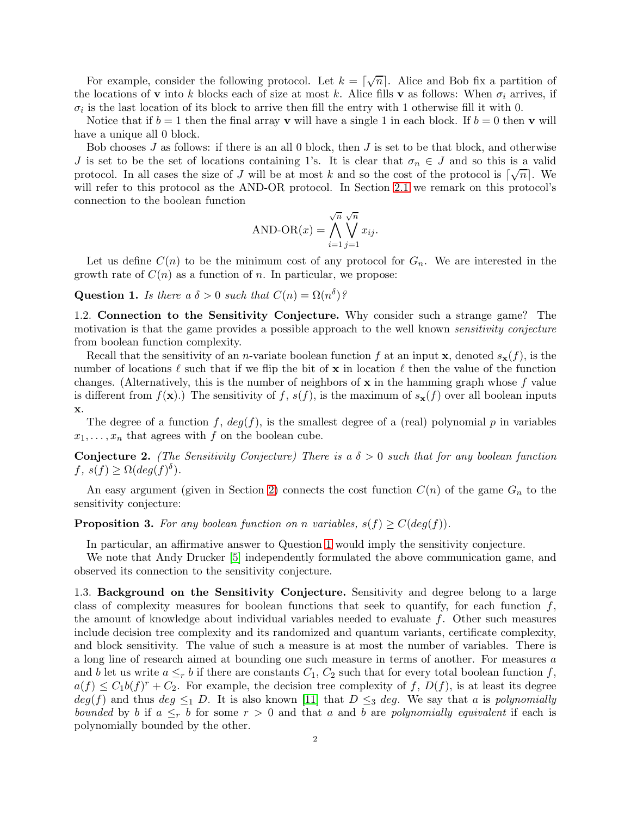For example, consider the following protocol. Let  $k = \lceil \sqrt{n} \rceil$ . Alice and Bob fix a partition of the locations of **v** into k blocks each of size at most k. Alice fills **v** as follows: When  $\sigma_i$  arrives, if  $\sigma_i$  is the last location of its block to arrive then fill the entry with 1 otherwise fill it with 0.

Notice that if  $b = 1$  then the final array v will have a single 1 in each block. If  $b = 0$  then v will have a unique all 0 block.

Bob chooses  $J$  as follows: if there is an all 0 block, then  $J$  is set to be that block, and otherwise J is set to be the set of locations containing 1's. It is clear that  $\sigma_n \in J$  and so this is a valid protocol. In all cases the size of J will be at most k and so the cost of the protocol is  $\lceil \sqrt{n} \rceil$ . We will refer to this protocol as the AND-OR protocol. In Section [2.1](#page-3-0) we remark on this protocol's connection to the boolean function

AND-OR
$$
(x)
$$
 =  $\bigwedge_{i=1}^{\sqrt{n}} \bigvee_{j=1}^{\sqrt{n}} x_{ij}$ .

Let us define  $C(n)$  to be the minimum cost of any protocol for  $G_n$ . We are interested in the growth rate of  $C(n)$  as a function of n. In particular, we propose:

<span id="page-1-0"></span>Question 1. Is there a  $\delta > 0$  such that  $C(n) = \Omega(n^{\delta})$ ?

1.2. Connection to the Sensitivity Conjecture. Why consider such a strange game? The motivation is that the game provides a possible approach to the well known *sensitivity conjecture* from boolean function complexity.

Recall that the sensitivity of an *n*-variate boolean function f at an input **x**, denoted  $s_{\mathbf{x}}(f)$ , is the number of locations  $\ell$  such that if we flip the bit of x in location  $\ell$  then the value of the function changes. (Alternatively, this is the number of neighbors of  $x$  in the hamming graph whose f value is different from  $f(\mathbf{x})$ .) The sensitivity of f,  $s(f)$ , is the maximum of  $s_{\mathbf{x}}(f)$  over all boolean inputs x.

The degree of a function f,  $deg(f)$ , is the smallest degree of a (real) polynomial p in variables  $x_1, \ldots, x_n$  that agrees with f on the boolean cube.

**Conjecture 2.** (The Sensitivity Conjecture) There is a  $\delta > 0$  such that for any boolean function  $f, s(f) \ge \Omega(deg(f)^{\delta}).$ 

An easy argument (given in Section [2\)](#page-2-0) connects the cost function  $C(n)$  of the game  $G_n$  to the sensitivity conjecture:

<span id="page-1-1"></span>**Proposition 3.** For any boolean function on n variables,  $s(f) \geq C(deg(f))$ .

In particular, an affirmative answer to Question [1](#page-1-0) would imply the sensitivity conjecture.

We note that Andy Drucker [\[5\]](#page-12-0) independently formulated the above communication game, and observed its connection to the sensitivity conjecture.

1.3. Background on the Sensitivity Conjecture. Sensitivity and degree belong to a large class of complexity measures for boolean functions that seek to quantify, for each function  $f$ , the amount of knowledge about individual variables needed to evaluate f. Other such measures include decision tree complexity and its randomized and quantum variants, certificate complexity, and block sensitivity. The value of such a measure is at most the number of variables. There is a long line of research aimed at bounding one such measure in terms of another. For measures a and b let us write  $a \leq_r b$  if there are constants  $C_1, C_2$  such that for every total boolean function f,  $a(f) \leq C_1 b(f)^r + C_2$ . For example, the decision tree complexity of f,  $D(f)$ , is at least its degree  $deg(f)$  and thus  $deg \leq_1 D$ . It is also known [\[11\]](#page-12-1) that  $D \leq_3 deg$ . We say that a is polynomially bounded by b if  $a \leq_r b$  for some  $r > 0$  and that a and b are polynomially equivalent if each is polynomially bounded by the other.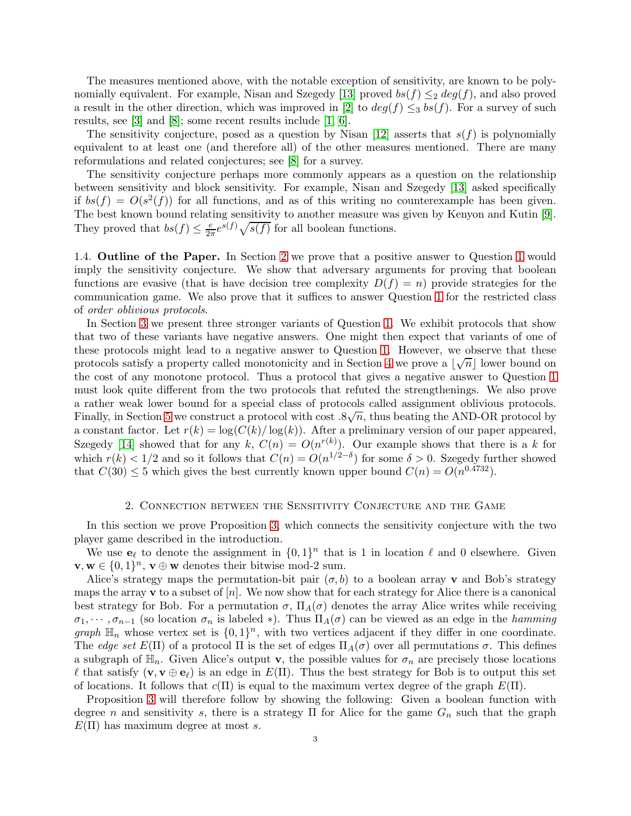The measures mentioned above, with the notable exception of sensitivity, are known to be poly-nomially equivalent. For example, Nisan and Szegedy [\[13\]](#page-12-2) proved  $bs(f) \leq_2 deg(f)$ , and also proved a result in the other direction, which was improved in [\[2\]](#page-11-0) to  $deg(f) \leq_3 bs(f)$ . For a survey of such results, see [\[3\]](#page-12-3) and [\[8\]](#page-12-4); some recent results include [\[1,](#page-11-1) [6\]](#page-12-5).

The sensitivity conjecture, posed as a question by Nisan [\[12\]](#page-12-6) asserts that  $s(f)$  is polynomially equivalent to at least one (and therefore all) of the other measures mentioned. There are many reformulations and related conjectures; see [\[8\]](#page-12-4) for a survey.

The sensitivity conjecture perhaps more commonly appears as a question on the relationship between sensitivity and block sensitivity. For example, Nisan and Szegedy [\[13\]](#page-12-2) asked specifically if  $bs(f) = O(s^2(f))$  for all functions, and as of this writing no counterexample has been given. The best known bound relating sensitivity to another measure was given by Kenyon and Kutin [\[9\]](#page-12-7). They proved that  $bs(f) \leq \frac{e}{2\pi}e^{s(f)}\sqrt{s(f)}$  for all boolean functions.

1.4. Outline of the Paper. In Section [2](#page-2-0) we prove that a positive answer to Question [1](#page-1-0) would imply the sensitivity conjecture. We show that adversary arguments for proving that boolean functions are evasive (that is have decision tree complexity  $D(f) = n$ ) provide strategies for the communication game. We also prove that it suffices to answer Question [1](#page-1-0) for the restricted class of order oblivious protocols.

In Section [3](#page-4-0) we present three stronger variants of Question [1.](#page-1-0) We exhibit protocols that show that two of these variants have negative answers. One might then expect that variants of one of these protocols might lead to a negative answer to Question [1.](#page-1-0) However, we observe that these protocols satisfy a property called monotonicity and in Section [4](#page-8-0) we prove a  $\lfloor \sqrt{n} \rfloor$  lower bound on the cost of any monotone protocol. Thus a protocol that gives a negative answer to Question [1](#page-1-0) must look quite different from the two protocols that refuted the strengthenings. We also prove a rather weak lower bound for a special class of protocols called assignment oblivious protocols. Finally, in Section [5](#page-11-2) we construct a protocol with cost  $.8\sqrt{n}$ , thus beating the AND-OR protocol by a constant factor. Let  $r(k) = \log(C(k)/\log(k))$ . After a preliminary version of our paper appeared, Szegedy [\[14\]](#page-12-8) showed that for any k,  $C(n) = O(n^{r(k)})$ . Our example shows that there is a k for which  $r(k) < 1/2$  and so it follows that  $C(n) = O(n^{1/2-\delta})$  for some  $\delta > 0$ . Szegedy further showed that  $C(30) \leq 5$  which gives the best currently known upper bound  $C(n) = O(n^{0.4732})$ .

### 2. Connection between the Sensitivity Conjecture and the Game

<span id="page-2-0"></span>In this section we prove Proposition [3,](#page-1-1) which connects the sensitivity conjecture with the two player game described in the introduction.

We use  $\mathbf{e}_{\ell}$  to denote the assignment in  $\{0,1\}^n$  that is 1 in location  $\ell$  and 0 elsewhere. Given  $\mathbf{v}, \mathbf{w} \in \{0, 1\}^n$ ,  $\mathbf{v} \oplus \mathbf{w}$  denotes their bitwise mod-2 sum.

Alice's strategy maps the permutation-bit pair  $(\sigma, b)$  to a boolean array v and Bob's strategy maps the array **v** to a subset of  $[n]$ . We now show that for each strategy for Alice there is a canonical best strategy for Bob. For a permutation  $\sigma$ ,  $\Pi_A(\sigma)$  denotes the array Alice writes while receiving  $\sigma_1, \cdots, \sigma_{n-1}$  (so location  $\sigma_n$  is labeled \*). Thus  $\Pi_A(\sigma)$  can be viewed as an edge in the *hamming* graph  $\mathbb{H}_n$  whose vertex set is  $\{0,1\}^n$ , with two vertices adjacent if they differ in one coordinate. The edge set  $E(\Pi)$  of a protocol  $\Pi$  is the set of edges  $\Pi_A(\sigma)$  over all permutations  $\sigma$ . This defines a subgraph of  $\mathbb{H}_n$ . Given Alice's output **v**, the possible values for  $\sigma_n$  are precisely those locations l that satisfy  $(\mathbf{v}, \mathbf{v} \oplus \mathbf{e}_\ell)$  is an edge in  $E(\Pi)$ . Thus the best strategy for Bob is to output this set of locations. It follows that  $c(\Pi)$  is equal to the maximum vertex degree of the graph  $E(\Pi)$ .

Proposition [3](#page-1-1) will therefore follow by showing the following: Given a boolean function with degree n and sensitivity s, there is a strategy  $\Pi$  for Alice for the game  $G_n$  such that the graph  $E(\Pi)$  has maximum degree at most s.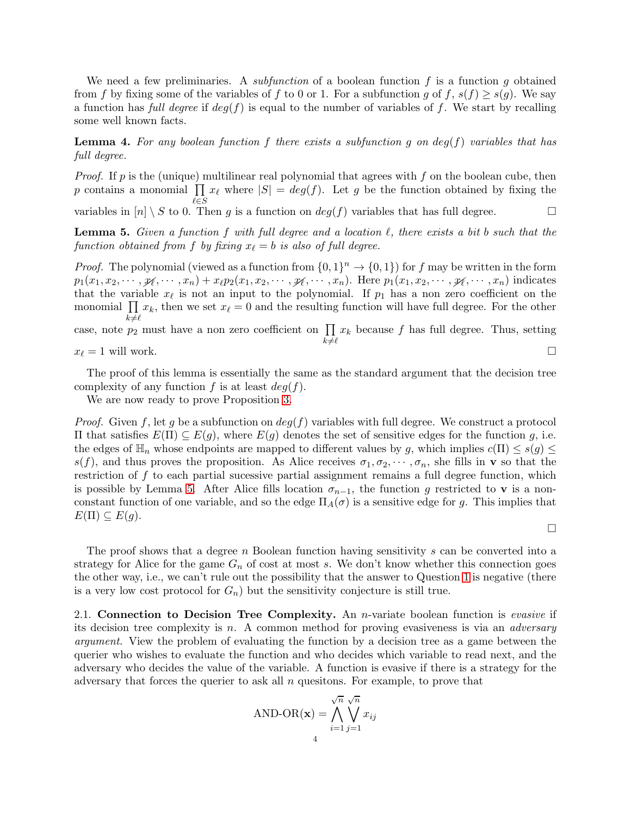We need a few preliminaries. A *subfunction* of a boolean function f is a function q obtained from f by fixing some of the variables of f to 0 or 1. For a subfunction g of f,  $s(f) \geq s(g)$ . We say a function has full degree if  $deg(f)$  is equal to the number of variables of f. We start by recalling some well known facts.

**Lemma 4.** For any boolean function f there exists a subfunction q on  $deg(f)$  variables that has full degree.

*Proof.* If p is the (unique) multilinear real polynomial that agrees with f on the boolean cube, then p contains a monomial  $\prod_{\ell\in\mathcal{C}} x_{\ell}$  where  $|S| = deg(f)$ . Let g be the function obtained by fixing the variables in  $[n] \setminus S$  to 0. Then g is a function on  $deg(f)$  variables that has full degree.

<span id="page-3-1"></span>**Lemma 5.** Given a function f with full degree and a location  $\ell$ , there exists a bit b such that the function obtained from f by fixing  $x_{\ell} = b$  is also of full degree.

*Proof.* The polynomial (viewed as a function from  $\{0,1\}^n \to \{0,1\}$ ) for f may be written in the form  $p_1(x_1, x_2, \dots, \mathcal{Y}_\ell, \dots, x_n) + x_\ell p_2(x_1, x_2, \dots, \mathcal{Y}_\ell, \dots, x_n)$ . Here  $p_1(x_1, x_2, \dots, \mathcal{Y}_\ell, \dots, x_n)$  indicates that the variable  $x_{\ell}$  is not an input to the polynomial. If  $p_1$  has a non zero coefficient on the monomial  $\prod x_k$ , then we set  $x_\ell = 0$  and the resulting function will have full degree. For the other  $k\not=\ell$ case, note  $p_2$  must have a non zero coefficient on  $\prod$  $k\not=\ell$  $x_k$  because f has full degree. Thus, setting

 $x_{\ell} = 1$  will work.

The proof of this lemma is essentially the same as the standard argument that the decision tree complexity of any function f is at least  $deg(f)$ .

We are now ready to prove Proposition [3.](#page-1-1)

*Proof.* Given f, let g be a subfunction on  $deg(f)$  variables with full degree. We construct a protocol  $\Pi$  that satisfies  $E(Π) ⊆ E(g)$ , where  $E(g)$  denotes the set of sensitive edges for the function g, i.e. the edges of  $\mathbb{H}_n$  whose endpoints are mapped to different values by g, which implies  $c(\Pi) \leq s(g) \leq$  $s(f)$ , and thus proves the proposition. As Alice receives  $\sigma_1, \sigma_2, \cdots, \sigma_n$ , she fills in **v** so that the restriction of f to each partial sucessive partial assignment remains a full degree function, which is possible by Lemma [5.](#page-3-1) After Alice fills location  $\sigma_{n-1}$ , the function g restricted to v is a nonconstant function of one variable, and so the edge  $\Pi_A(\sigma)$  is a sensitive edge for g. This implies that  $E(\Pi) \subseteq E(g).$ 

 $\Box$ 

The proof shows that a degree n Boolean function having sensitivity s can be converted into a strategy for Alice for the game  $G_n$  of cost at most s. We don't know whether this connection goes the other way, i.e., we can't rule out the possibility that the answer to Question [1](#page-1-0) is negative (there is a very low cost protocol for  $G_n$ ) but the sensitivity conjecture is still true.

<span id="page-3-0"></span>2.1. Connection to Decision Tree Complexity. An *n*-variate boolean function is *evasive* if its decision tree complexity is n. A common method for proving evasiveness is via an *adversary* argument. View the problem of evaluating the function by a decision tree as a game between the querier who wishes to evaluate the function and who decides which variable to read next, and the adversary who decides the value of the variable. A function is evasive if there is a strategy for the adversary that forces the querier to ask all  $n$  questions. For example, to prove that

AND-OR(**x**) = 
$$
\bigwedge_{i=1}^{\sqrt{n}} \bigvee_{j=1}^{\sqrt{n}} x_{ij}
$$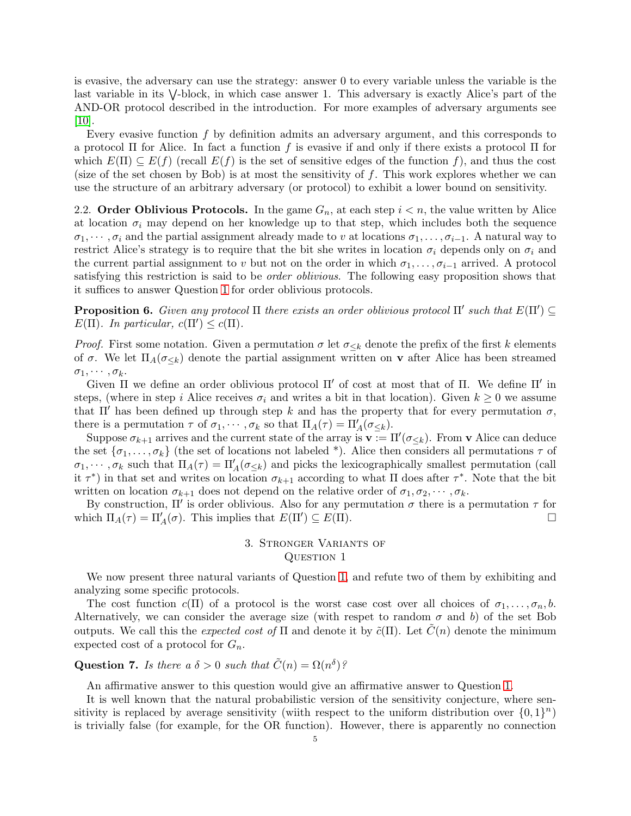is evasive, the adversary can use the strategy: answer 0 to every variable unless the variable is the last variable in its  $\vee$ -block, in which case answer 1. This adversary is exactly Alice's part of the AND-OR protocol described in the introduction. For more examples of adversary arguments see  $|10|$ .

Every evasive function  $f$  by definition admits an adversary argument, and this corresponds to a protocol Π for Alice. In fact a function f is evasive if and only if there exists a protocol Π for which  $E(\Pi) \subseteq E(f)$  (recall  $E(f)$  is the set of sensitive edges of the function f), and thus the cost (size of the set chosen by Bob) is at most the sensitivity of  $f$ . This work explores whether we can use the structure of an arbitrary adversary (or protocol) to exhibit a lower bound on sensitivity.

2.2. Order Oblivious Protocols. In the game  $G_n$ , at each step  $i < n$ , the value written by Alice at location  $\sigma_i$  may depend on her knowledge up to that step, which includes both the sequence  $\sigma_1, \cdots, \sigma_i$  and the partial assignment already made to v at locations  $\sigma_1, \ldots, \sigma_{i-1}$ . A natural way to restrict Alice's strategy is to require that the bit she writes in location  $\sigma_i$  depends only on  $\sigma_i$  and the current partial assignment to v but not on the order in which  $\sigma_1, \ldots, \sigma_{i-1}$  arrived. A protocol satisfying this restriction is said to be *order oblivious*. The following easy proposition shows that it suffices to answer Question [1](#page-1-0) for order oblivious protocols.

<span id="page-4-1"></span>**Proposition 6.** Given any protocol  $\Pi$  there exists an order oblivious protocol  $\Pi'$  such that  $E(\Pi') \subseteq \overline{\Pi'}$  $E(\Pi)$ . In particular,  $c(\Pi') \leq c(\Pi)$ .

*Proof.* First some notation. Given a permutation  $\sigma$  let  $\sigma_{\leq k}$  denote the prefix of the first k elements of  $\sigma$ . We let  $\Pi_A(\sigma_{\leq k})$  denote the partial assignment written on **v** after Alice has been streamed  $\sigma_1, \cdots, \sigma_k$ .

Given  $\Pi$  we define an order oblivious protocol  $\Pi'$  of cost at most that of  $\Pi$ . We define  $\Pi'$  in steps, (where in step i Alice receives  $\sigma_i$  and writes a bit in that location). Given  $k \geq 0$  we assume that  $\Pi'$  has been defined up through step k and has the property that for every permutation  $\sigma$ , there is a permutation  $\tau$  of  $\sigma_1, \cdots, \sigma_k$  so that  $\Pi_A(\tau) = \Pi'_A(\sigma_{\leq k})$ .

Suppose  $\sigma_{k+1}$  arrives and the current state of the array is  $\mathbf{v} := \Pi'(\sigma_{\leq k})$ . From  $\mathbf{v}$  Alice can deduce the set  $\{\sigma_1,\ldots,\sigma_k\}$  (the set of locations not labeled \*). Alice then considers all permutations  $\tau$  of  $\sigma_1, \dots, \sigma_k$  such that  $\Pi_A(\tau) = \Pi'_A(\sigma_{\leq k})$  and picks the lexicographically smallest permutation (call it  $\tau^*$ ) in that set and writes on location  $\sigma_{k+1}$  according to what  $\Pi$  does after  $\tau^*$ . Note that the bit written on location  $\sigma_{k+1}$  does not depend on the relative order of  $\sigma_1, \sigma_2, \cdots, \sigma_k$ .

<span id="page-4-0"></span>By construction,  $\Pi'$  is order oblivious. Also for any permutation  $\sigma$  there is a permutation  $\tau$  for which  $\Pi_A(\tau) = \Pi'_A(\sigma)$ . This implies that  $E(\Pi') \subseteq E(\Pi)$ .

# 3. Stronger Variants of QUESTION 1

We now present three natural variants of Question [1,](#page-1-0) and refute two of them by exhibiting and analyzing some specific protocols.

The cost function  $c(\Pi)$  of a protocol is the worst case cost over all choices of  $\sigma_1, \ldots, \sigma_n, b$ . Alternatively, we can consider the average size (with respet to random  $\sigma$  and b) of the set Bob outputs. We call this the expected cost of  $\Pi$  and denote it by  $\tilde{c}(\Pi)$ . Let  $C(n)$  denote the minimum expected cost of a protocol for  $G_n$ .

Question 7. Is there a  $\delta > 0$  such that  $\tilde{C}(n) = \Omega(n^{\delta})$ ?

An affirmative answer to this question would give an affirmative answer to Question [1.](#page-1-0)

It is well known that the natural probabilistic version of the sensitivity conjecture, where sensitivity is replaced by average sensitivity (wiith respect to the uniform distribution over  $\{0,1\}^n$ ) is trivially false (for example, for the OR function). However, there is apparently no connection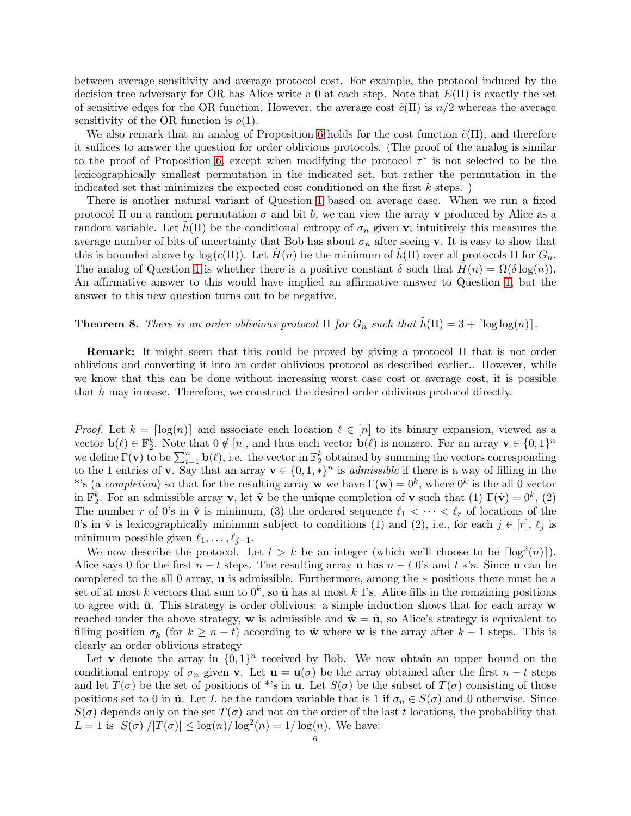between average sensitivity and average protocol cost. For example, the protocol induced by the decision tree adversary for OR has Alice write a 0 at each step. Note that  $E(\Pi)$  is exactly the set of sensitive edges for the OR function. However, the average cost  $\tilde{c}(\Pi)$  is  $n/2$  whereas the average sensitivity of the OR function is  $o(1)$ .

We also remark that an analog of Proposition [6](#page-4-1) holds for the cost function  $\tilde{c}(\Pi)$ , and therefore it suffices to answer the question for order oblivious protocols. (The proof of the analog is similar to the proof of Proposition [6,](#page-4-1) except when modifying the protocol  $\tau^*$  is not selected to be the lexicographically smallest permutation in the indicated set, but rather the permutation in the indicated set that minimizes the expected cost conditioned on the first  $k$  steps.)

There is another natural variant of Question [1](#page-1-0) based on average case. When we run a fixed protocol  $\Pi$  on a random permutation  $\sigma$  and bit b, we can view the array v produced by Alice as a random variable. Let  $h(\Pi)$  be the conditional entropy of  $\sigma_n$  given v; intuitively this measures the average number of bits of uncertainty that Bob has about  $\sigma_n$  after seeing v. It is easy to show that this is bounded above by  $\log(c(\Pi))$ . Let  $\tilde{H}(n)$  be the minimum of  $\tilde{h}(\Pi)$  over all protocols  $\Pi$  for  $G_n$ . The analog of Question [1](#page-1-0) is whether there is a positive constant  $\delta$  such that  $H(n) = \Omega(\delta \log(n))$ . An affirmative answer to this would have implied an affirmative answer to Question [1,](#page-1-0) but the answer to this new question turns out to be negative.

# <span id="page-5-0"></span>**Theorem 8.** There is an order oblivious protocol  $\Pi$  for  $G_n$  such that  $\tilde{h}(\Pi) = 3 + \lceil \log \log(n) \rceil$ .

Remark: It might seem that this could be proved by giving a protocol Π that is not order oblivious and converting it into an order oblivious protocol as described earlier.. However, while we know that this can be done without increasing worst case cost or average cost, it is possible that  $h$  may inrease. Therefore, we construct the desired order oblivious protocol directly.

*Proof.* Let  $k = \lfloor \log(n) \rfloor$  and associate each location  $\ell \in [n]$  to its binary expansion, viewed as a vector  $\mathbf{b}(\ell) \in \mathbb{F}_2^k$ . Note that  $0 \notin [n]$ , and thus each vector  $\mathbf{b}(\ell)$  is nonzero. For an array  $\mathbf{v} \in \{0,1\}^n$ we define  $\Gamma(\mathbf{v})$  to be  $\sum_{i=1}^n \mathbf{b}(\ell)$ , i.e. the vector in  $\mathbb{F}_2^k$  obtained by summing the vectors corresponding to the 1 entries of **v**. Say that an array  $\mathbf{v} \in \{0, 1, *\}^n$  is *admissible* if there is a way of filling in the \*'s (a completion) so that for the resulting array w we have  $\Gamma(\mathbf{w}) = 0^k$ , where  $0^k$  is the all 0 vector in  $\mathbb{F}_2^k$ . For an admissible array **v**, let  $\hat{\mathbf{v}}$  be the unique completion of **v** such that (1)  $\Gamma(\hat{\mathbf{v}}) = 0^k$ , (2) The number r of 0's in  $\hat{\mathbf{v}}$  is minimum, (3) the ordered sequence  $\ell_1 < \cdots < \ell_r$  of locations of the 0's in  $\hat{\mathbf{v}}$  is lexicographically minimum subject to conditions (1) and (2), i.e., for each  $j \in [r]$ ,  $\ell_j$  is minimum possible given  $\ell_1, \ldots, \ell_{j-1}$ .

We now describe the protocol. Let  $t > k$  be an integer (which we'll choose to be  $\lceil \log^2(n) \rceil$ ). Alice says 0 for the first  $n - t$  steps. The resulting array u has  $n - t$  0's and  $t *$ 's. Since u can be completed to the all 0 array, u is admissible. Furthermore, among the ∗ positions there must be a set of at most k vectors that sum to  $0^k$ , so  $\hat{\mathbf{u}}$  has at most k 1's. Alice fills in the remaining positions to agree with  $\hat{u}$ . This strategy is order oblivious: a simple induction shows that for each array  $w$ reached under the above strategy, w is admissible and  $\hat{\mathbf{w}} = \hat{\mathbf{u}}$ , so Alice's strategy is equivalent to filling position  $\sigma_k$  (for  $k \geq n - t$ ) according to  $\hat{\mathbf{w}}$  where **w** is the array after  $k - 1$  steps. This is clearly an order oblivious strategy

Let **v** denote the array in  $\{0,1\}^n$  received by Bob. We now obtain an upper bound on the conditional entropy of  $\sigma_n$  given **v**. Let **u** = **u**( $\sigma$ ) be the array obtained after the first  $n - t$  steps and let  $T(\sigma)$  be the set of positions of \*'s in **u**. Let  $S(\sigma)$  be the subset of  $T(\sigma)$  consisting of those positions set to 0 in  $\hat{u}$ . Let L be the random variable that is 1 if  $\sigma_n \in S(\sigma)$  and 0 otherwise. Since  $S(\sigma)$  depends only on the set  $T(\sigma)$  and not on the order of the last t locations, the probability that  $L = 1$  is  $|S(\sigma)|/|T(\sigma)| \leq \log(n)/\log^2(n) = 1/\log(n)$ . We have: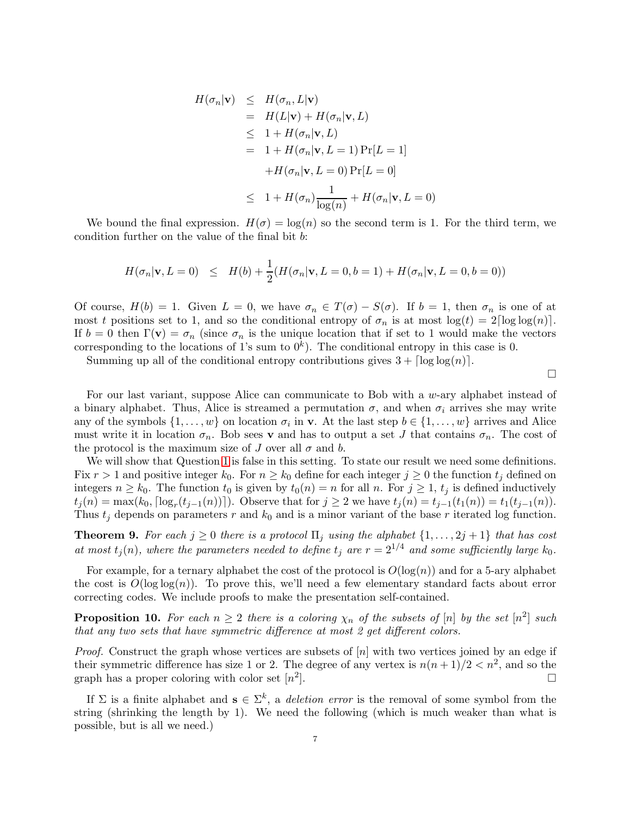$$
H(\sigma_n|\mathbf{v}) \leq H(\sigma_n, L|\mathbf{v})
$$
  
=  $H(L|\mathbf{v}) + H(\sigma_n|\mathbf{v}, L)$   
 $\leq 1 + H(\sigma_n|\mathbf{v}, L)$   
=  $1 + H(\sigma_n|\mathbf{v}, L = 1) \Pr[L = 1]$   
 $+ H(\sigma_n|\mathbf{v}, L = 0) \Pr[L = 0]$   
 $\leq 1 + H(\sigma_n)\frac{1}{\log(n)} + H(\sigma_n|\mathbf{v}, L = 0)$ 

We bound the final expression.  $H(\sigma) = \log(n)$  so the second term is 1. For the third term, we condition further on the value of the final bit b:

$$
H(\sigma_n | \mathbf{v}, L = 0) \leq H(b) + \frac{1}{2}(H(\sigma_n | \mathbf{v}, L = 0, b = 1) + H(\sigma_n | \mathbf{v}, L = 0, b = 0))
$$

Of course,  $H(b) = 1$ . Given  $L = 0$ , we have  $\sigma_n \in T(\sigma) - S(\sigma)$ . If  $b = 1$ , then  $\sigma_n$  is one of at most t positions set to 1, and so the conditional entropy of  $\sigma_n$  is at most  $\log(t) = 2\lceil \log \log(n) \rceil$ . If  $b = 0$  then  $\Gamma(\mathbf{v}) = \sigma_n$  (since  $\sigma_n$  is the unique location that if set to 1 would make the vectors corresponding to the locations of 1's sum to  $0^k$ ). The conditional entropy in this case is 0.

Summing up all of the conditional entropy contributions gives  $3 + \lceil \log \log(n) \rceil$ .

 $\Box$ 

For our last variant, suppose Alice can communicate to Bob with a w-ary alphabet instead of a binary alphabet. Thus, Alice is streamed a permutation  $\sigma$ , and when  $\sigma_i$  arrives she may write any of the symbols  $\{1, \ldots, w\}$  on location  $\sigma_i$  in v. At the last step  $b \in \{1, \ldots, w\}$  arrives and Alice must write it in location  $\sigma_n$ . Bob sees **v** and has to output a set J that contains  $\sigma_n$ . The cost of the protocol is the maximum size of J over all  $\sigma$  and b.

We will show that Question [1](#page-1-0) is false in this setting. To state our result we need some definitions. Fix  $r > 1$  and positive integer  $k_0$ . For  $n \geq k_0$  define for each integer  $j \geq 0$  the function  $t_j$  defined on integers  $n \geq k_0$ . The function  $t_0$  is given by  $t_0(n) = n$  for all n. For  $j \geq 1$ ,  $t_j$  is defined inductively  $t_j(n) = \max(k_0, \lceil \log_r(t_{j-1}(n)) \rceil)$ . Observe that for  $j \geq 2$  we have  $t_j(n) = t_{j-1}(t_1(n)) = t_1(t_{j-1}(n))$ . Thus  $t_j$  depends on parameters r and  $k_0$  and is a minor variant of the base r iterated log function.

<span id="page-6-0"></span>**Theorem 9.** For each  $j \geq 0$  there is a protocol  $\Pi_j$  using the alphabet  $\{1, \ldots, 2j+1\}$  that has cost at most  $t_j(n)$ , where the parameters needed to define  $t_j$  are  $r = 2^{1/4}$  and some sufficiently large  $k_0$ .

For example, for a ternary alphabet the cost of the protocol is  $O(\log(n))$  and for a 5-ary alphabet the cost is  $O(\log \log(n))$ . To prove this, we'll need a few elementary standard facts about error correcting codes. We include proofs to make the presentation self-contained.

<span id="page-6-1"></span>**Proposition 10.** For each  $n \geq 2$  there is a coloring  $\chi_n$  of the subsets of [n] by the set  $[n^2]$  such that any two sets that have symmetric difference at most 2 get different colors.

*Proof.* Construct the graph whose vertices are subsets of  $[n]$  with two vertices joined by an edge if their symmetric difference has size 1 or 2. The degree of any vertex is  $n(n+1)/2 < n^2$ , and so the graph has a proper coloring with color set  $[n^2]$ ].

If  $\Sigma$  is a finite alphabet and  $\mathbf{s} \in \Sigma^k$ , a deletion error is the removal of some symbol from the string (shrinking the length by 1). We need the following (which is much weaker than what is possible, but is all we need.)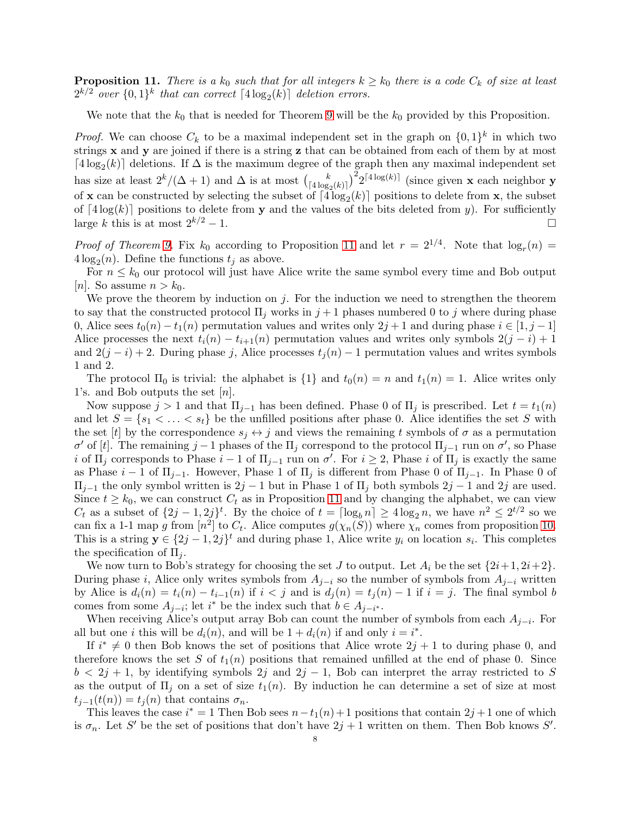<span id="page-7-0"></span>**Proposition 11.** There is a  $k_0$  such that for all integers  $k \geq k_0$  there is a code  $C_k$  of size at least  $2^{k/2}$  over  $\{0,1\}^k$  that can correct  $\lceil 4\log_2(k) \rceil$  deletion errors.

We note that the  $k_0$  that is needed for Theorem [9](#page-6-0) will be the  $k_0$  provided by this Proposition.

*Proof.* We can choose  $C_k$  to be a maximal independent set in the graph on  $\{0,1\}^k$  in which two strings x and y are joined if there is a string z that can be obtained from each of them by at most  $\lceil 4 \log_2(k) \rceil$  deletions. If  $\Delta$  is the maximum degree of the graph then any maximal independent set has size at least  $2^k/(\Delta+1)$  and  $\Delta$  is at most  $\binom{k}{[4]}\infty$  $\frac{k}{[4\log_2(k)]}\Big)^2 2^{[4\log(k)]}$  (since given **x** each neighbor **y** of **x** can be constructed by selecting the subset of  $\lceil 4\log_2(k) \rceil$  positions to delete from **x**, the subset of  $[4\log(k)]$  positions to delete from y and the values of the bits deleted from y). For sufficiently large k this is at most  $2^{k/2} - 1$ . large k this is at most  $2^{k/2} - 1$ .

*Proof of Theorem [9.](#page-6-0)* Fix  $k_0$  according to Proposition [11](#page-7-0) and let  $r = 2^{1/4}$ . Note that  $\log_r(n) =$  $4\log_2(n)$ . Define the functions  $t_j$  as above.

For  $n \leq k_0$  our protocol will just have Alice write the same symbol every time and Bob output |n|. So assume  $n > k_0$ .

We prove the theorem by induction on  $j$ . For the induction we need to strengthen the theorem to say that the constructed protocol  $\Pi_i$  works in  $j+1$  phases numbered 0 to j where during phase 0, Alice sees  $t_0(n) - t_1(n)$  permutation values and writes only  $2j + 1$  and during phase  $i \in [1, j - 1]$ Alice processes the next  $t_i(n) - t_{i+1}(n)$  permutation values and writes only symbols  $2(j - i) + 1$ and  $2(j - i) + 2$ . During phase j, Alice processes  $t_j(n) - 1$  permutation values and writes symbols 1 and 2.

The protocol  $\Pi_0$  is trivial: the alphabet is  $\{1\}$  and  $t_0(n) = n$  and  $t_1(n) = 1$ . Alice writes only 1's. and Bob outputs the set [n].

Now suppose  $j > 1$  and that  $\Pi_{j-1}$  has been defined. Phase 0 of  $\Pi_j$  is prescribed. Let  $t = t_1(n)$ and let  $S = \{s_1 < \ldots < s_t\}$  be the unfilled positions after phase 0. Alice identifies the set S with the set [t] by the correspondence  $s_i \leftrightarrow j$  and views the remaining t symbols of  $\sigma$  as a permutation  $\sigma'$  of [t]. The remaining j – 1 phases of the Π<sub>j</sub> correspond to the protocol Π<sub>j–1</sub> run on  $\sigma'$ , so Phase i of  $\Pi_j$  corresponds to Phase  $i-1$  of  $\Pi_{j-1}$  run on  $\sigma'$ . For  $i \geq 2$ , Phase i of  $\Pi_j$  is exactly the same as Phase  $i-1$  of  $\Pi_{j-1}$ . However, Phase 1 of  $\Pi_j$  is different from Phase 0 of  $\Pi_{j-1}$ . In Phase 0 of  $\Pi_{j-1}$  the only symbol written is  $2j-1$  but in Phase 1 of  $\Pi_j$  both symbols  $2j-1$  and  $2j$  are used. Since  $t \geq k_0$ , we can construct  $C_t$  as in Proposition [11](#page-7-0) and by changing the alphabet, we can view  $C_t$  as a subset of  $\{2j-1, 2j\}^t$ . By the choice of  $t = \lceil \log_b n \rceil \ge 4 \log_2 n$ , we have  $n^2 \le 2^{t/2}$  so we can fix a 1-1 map g from  $[n^2]$  to  $C_t$ . Alice computes  $g(\chi_n(S))$  where  $\chi_n$  comes from proposition [10.](#page-6-1) This is a string  $y \in \{2j-1, 2j\}^t$  and during phase 1, Alice write  $y_i$  on location  $s_i$ . This completes the specification of  $\Pi_i$ .

We now turn to Bob's strategy for choosing the set J to output. Let  $A_i$  be the set  $\{2i+1, 2i+2\}$ . During phase i, Alice only writes symbols from  $A_{i-i}$  so the number of symbols from  $A_{i-i}$  written by Alice is  $d_i(n) = t_i(n) - t_{i-1}(n)$  if  $i < j$  and is  $d_j(n) = t_j(n) - 1$  if  $i = j$ . The final symbol b comes from some  $A_{j-i}$ ; let  $i^*$  be the index such that  $b \in A_{j-i^*}$ .

When receiving Alice's output array Bob can count the number of symbols from each  $A_{j-i}$ . For all but one *i* this will be  $d_i(n)$ , and will be  $1 + d_i(n)$  if and only  $i = i^*$ .

If  $i^* \neq 0$  then Bob knows the set of positions that Alice wrote  $2j + 1$  to during phase 0, and therefore knows the set S of  $t_1(n)$  positions that remained unfilled at the end of phase 0. Since  $b < 2j + 1$ , by identifying symbols  $2j$  and  $2j - 1$ , Bob can interpret the array restricted to S as the output of  $\Pi_i$  on a set of size  $t_1(n)$ . By induction he can determine a set of size at most  $t_{i-1}(t(n)) = t_i(n)$  that contains  $\sigma_n$ .

This leaves the case  $i^* = 1$  Then Bob sees  $n-t_1(n) + 1$  positions that contain  $2j + 1$  one of which is  $\sigma_n$ . Let S' be the set of positions that don't have  $2j + 1$  written on them. Then Bob knows S'.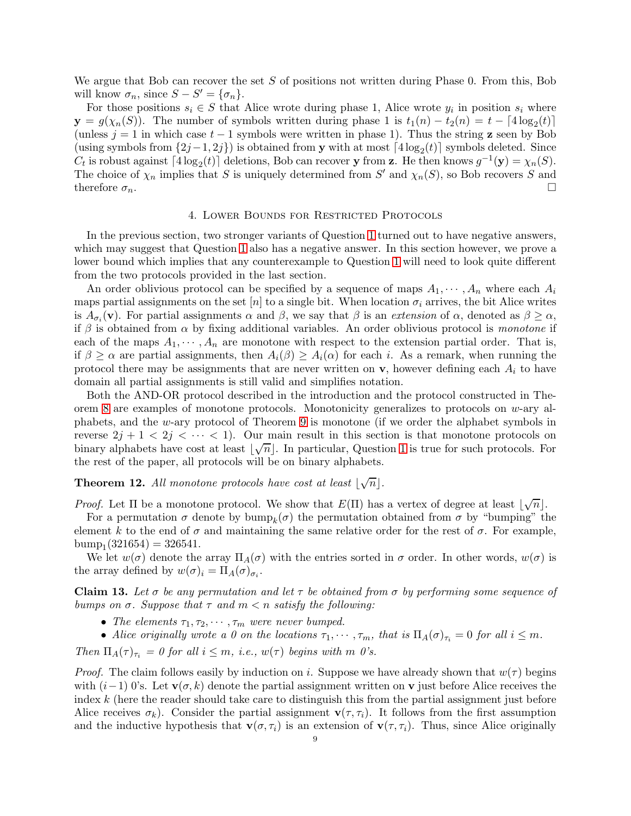We argue that Bob can recover the set  $S$  of positions not written during Phase 0. From this, Bob will know  $\sigma_n$ , since  $S - S' = {\sigma_n}.$ 

For those positions  $s_i \in S$  that Alice wrote during phase 1, Alice wrote  $y_i$  in position  $s_i$  where  $y = g(\chi_n(S))$ . The number of symbols written during phase 1 is  $t_1(n) - t_2(n) = t - \lfloor 4 \log_2(t) \rfloor$ (unless  $j = 1$  in which case  $t - 1$  symbols were written in phase 1). Thus the string z seen by Bob (using symbols from  $\{2j-1, 2j\}$ ) is obtained from y with at most  $\lceil 4\log_2(t) \rceil$  symbols deleted. Since  $C_t$  is robust against  $\lceil 4\log_2(t) \rceil$  deletions, Bob can recover y from z. He then knows  $g^{-1}(\mathbf{y}) = \chi_n(S)$ . The choice of  $\chi_n$  implies that S is uniquely determined from S' and  $\chi_n(S)$ , so Bob recovers S and therefore  $\sigma_n$ .

# 4. Lower Bounds for Restricted Protocols

<span id="page-8-0"></span>In the previous section, two stronger variants of Question [1](#page-1-0) turned out to have negative answers, which may suggest that Question [1](#page-1-0) also has a negative answer. In this section however, we prove a lower bound which implies that any counterexample to Question [1](#page-1-0) will need to look quite different from the two protocols provided in the last section.

An order oblivious protocol can be specified by a sequence of maps  $A_1, \dots, A_n$  where each  $A_i$ maps partial assignments on the set [n] to a single bit. When location  $\sigma_i$  arrives, the bit Alice writes is  $A_{\sigma_i}(\mathbf{v})$ . For partial assignments  $\alpha$  and  $\beta$ , we say that  $\beta$  is an extension of  $\alpha$ , denoted as  $\beta \geq \alpha$ , if  $\beta$  is obtained from  $\alpha$  by fixing additional variables. An order oblivious protocol is *monotone* if each of the maps  $A_1, \dots, A_n$  are monotone with respect to the extension partial order. That is, if  $\beta \geq \alpha$  are partial assignments, then  $A_i(\beta) \geq A_i(\alpha)$  for each i. As a remark, when running the protocol there may be assignments that are never written on  $\bf{v}$ , however defining each  $A_i$  to have domain all partial assignments is still valid and simplifies notation.

Both the AND-OR protocol described in the introduction and the protocol constructed in Theorem [8](#page-5-0) are examples of monotone protocols. Monotonicity generalizes to protocols on w-ary alphabets, and the w-ary protocol of Theorem [9](#page-6-0) is monotone (if we order the alphabet symbols in reverse  $2j + 1 < 2j < \cdots < 1$ . Our main result in this section is that monotone protocols on binary alphabets have cost at least  $\lfloor \sqrt{n} \rfloor$ . In particular, Question [1](#page-1-0) is true for such protocols. For the rest of the paper, all protocols will be on binary alphabets.

# <span id="page-8-2"></span>**Theorem 12.** All monotone protocols have cost at least  $\lfloor \sqrt{n} \rfloor$ .

*Proof.* Let  $\Pi$  be a monotone protocol. We show that  $E(\Pi)$  has a vertex of degree at least  $\lfloor \sqrt{n} \rfloor$ .

For a permutation  $\sigma$  denote by  $\text{bump}_k(\sigma)$  the permutation obtained from  $\sigma$  by "bumping" the element k to the end of  $\sigma$  and maintaining the same relative order for the rest of  $\sigma$ . For example, bump<sub>1</sub>(321654) = 326541.

We let  $w(\sigma)$  denote the array  $\Pi_A(\sigma)$  with the entries sorted in  $\sigma$  order. In other words,  $w(\sigma)$  is the array defined by  $w(\sigma)_i = \Pi_A(\sigma)_{\sigma_i}$ .

<span id="page-8-1"></span>**Claim 13.** Let  $\sigma$  be any permutation and let  $\tau$  be obtained from  $\sigma$  by performing some sequence of bumps on  $\sigma$ . Suppose that  $\tau$  and  $m < n$  satisfy the following:

- The elements  $\tau_1, \tau_2, \cdots, \tau_m$  were never bumped.
- Alice originally wrote a 0 on the locations  $\tau_1, \dots, \tau_m$ , that is  $\Pi_A(\sigma)_{\tau_i} = 0$  for all  $i \leq m$ .

Then  $\Pi_A(\tau)_{\tau_i} = 0$  for all  $i \leq m$ , i.e.,  $w(\tau)$  begins with m 0's.

*Proof.* The claim follows easily by induction on i. Suppose we have already shown that  $w(\tau)$  begins with  $(i-1)$  0's. Let  $\mathbf{v}(\sigma, k)$  denote the partial assignment written on v just before Alice receives the index k (here the reader should take care to distinguish this from the partial assignment just before Alice receives  $\sigma_k$ ). Consider the partial assignment  $\mathbf{v}(\tau, \tau_i)$ . It follows from the first assumption and the inductive hypothesis that  $\mathbf{v}(\sigma, \tau_i)$  is an extension of  $\mathbf{v}(\tau, \tau_i)$ . Thus, since Alice originally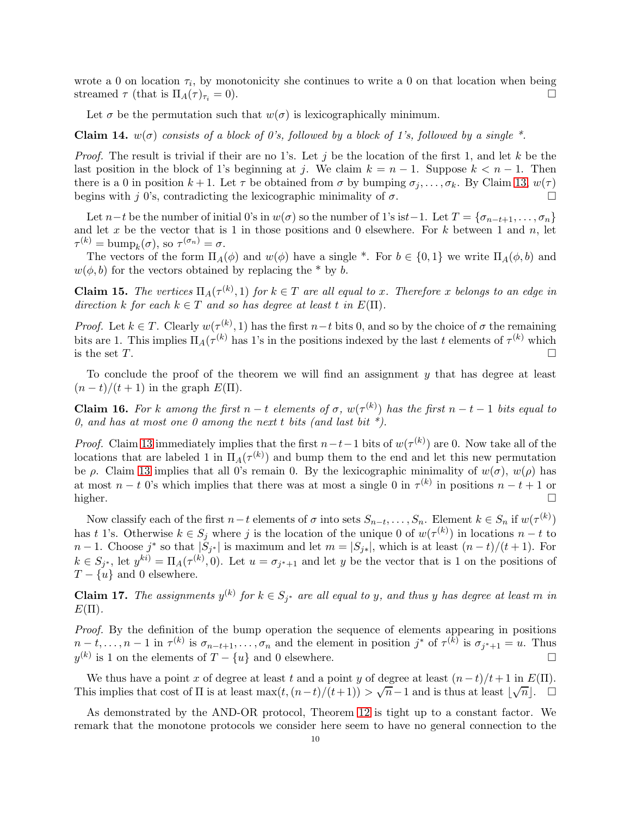wrote a 0 on location  $\tau_i$ , by monotonicity she continues to write a 0 on that location when being streamed  $\tau$  (that is  $\Pi_A(\tau)_{\tau_i} = 0$ ).

Let  $\sigma$  be the permutation such that  $w(\sigma)$  is lexicographically minimum.

Claim 14.  $w(\sigma)$  consists of a block of 0's, followed by a block of 1's, followed by a single \*.

*Proof.* The result is trivial if their are no 1's. Let j be the location of the first 1, and let k be the last position in the block of 1's beginning at j. We claim  $k = n - 1$ . Suppose  $k < n - 1$ . Then there is a 0 in position  $k + 1$ . Let  $\tau$  be obtained from  $\sigma$  by bumping  $\sigma_j, \ldots, \sigma_k$ . By Claim [13,](#page-8-1)  $w(\tau)$ begins with j 0's, contradicting the lexicographic minimality of  $\sigma$ .

Let  $n-t$  be the number of initial 0's in  $w(\sigma)$  so the number of 1's ist−1. Let  $T = \{\sigma_{n-t+1}, \ldots, \sigma_n\}$ and let x be the vector that is 1 in those positions and 0 elsewhere. For  $k$  between 1 and  $n$ , let  $\tau^{(k)} = \text{bump}_k(\sigma)$ , so  $\tau^{(\sigma_n)} = \sigma$ .

The vectors of the form  $\Pi_A(\phi)$  and  $w(\phi)$  have a single \*. For  $b \in \{0,1\}$  we write  $\Pi_A(\phi, b)$  and  $w(\phi, b)$  for the vectors obtained by replacing the \* by b.

**Claim 15.** The vertices  $\Pi_A(\tau^{(k)}, 1)$  for  $k \in T$  are all equal to x. Therefore x belongs to an edge in direction k for each  $k \in T$  and so has degree at least t in  $E(\Pi)$ .

*Proof.* Let  $k \in T$ . Clearly  $w(\tau^{(k)}, 1)$  has the first  $n-t$  bits 0, and so by the choice of  $\sigma$  the remaining bits are 1. This implies  $\Pi_A(\tau^{(k)}$  has 1's in the positions indexed by the last t elements of  $\tau^{(k)}$  which is the set  $T$ .

To conclude the proof of the theorem we will find an assignment y that has degree at least  $(n-t)/(t+1)$  in the graph  $E(\Pi)$ .

**Claim 16.** For k among the first  $n - t$  elements of  $\sigma$ ,  $w(\tau^{(k)})$  has the first  $n - t - 1$  bits equal to 0, and has at most one 0 among the next t bits (and last bit  $*$ ).

*Proof.* Claim [13](#page-8-1) immediately implies that the first  $n-t-1$  bits of  $w(\tau^{(k)})$  are 0. Now take all of the locations that are labeled 1 in  $\Pi_A(\tau^{(k)})$  and bump them to the end and let this new permutation be  $\rho$ . Claim [13](#page-8-1) implies that all 0's remain 0. By the lexicographic minimality of  $w(\sigma)$ ,  $w(\rho)$  has at most  $n - t$  0's which implies that there was at most a single 0 in  $\tau^{(k)}$  in positions  $n - t + 1$  or higher.

Now classify each of the first  $n-t$  elements of  $\sigma$  into sets  $S_{n-t}, \ldots, S_n$ . Element  $k \in S_n$  if  $w(\tau^{(k)})$ has t 1's. Otherwise  $k \in S_j$  where j is the location of the unique 0 of  $w(\tau^{(k)})$  in locations  $n-t$  to  $n-1$ . Choose  $j^*$  so that  $|S_{j^*}|$  is maximum and let  $m = |S_{j^*}|$ , which is at least  $(n-t)/(t+1)$ . For  $k \in S_{j^*}$ , let  $y^{ki} = \Pi_A(\tau^{(k)}, 0)$ . Let  $u = \sigma_{j^*+1}$  and let y be the vector that is 1 on the positions of  $T - \{u\}$  and 0 elsewhere.

**Claim 17.** The assignments  $y^{(k)}$  for  $k \in S_{j^*}$  are all equal to y, and thus y has degree at least m in  $E(\Pi)$ .

Proof. By the definition of the bump operation the sequence of elements appearing in positions  $n-t, \ldots, n-1$  in  $\tau^{(k)}$  is  $\sigma_{n-t+1}, \ldots, \sigma_n$  and the element in position  $j^*$  of  $\tau^{(k)}$  is  $\sigma_{j^*+1} = u$ . Thus  $y^{(k)}$  is 1 on the elements of  $T - \{u\}$  and 0 elsewhere.

We thus have a point x of degree at least t and a point y of degree at least  $(n-t)/t+1$  in  $E(\Pi)$ . This implies that cost of  $\Pi$  is at least max $(t,(n-t)/(t+1)) > \sqrt{n-1}$  and is thus at least  $\lfloor \sqrt{n} \rfloor$ .

As demonstrated by the AND-OR protocol, Theorem [12](#page-8-2) is tight up to a constant factor. We remark that the monotone protocols we consider here seem to have no general connection to the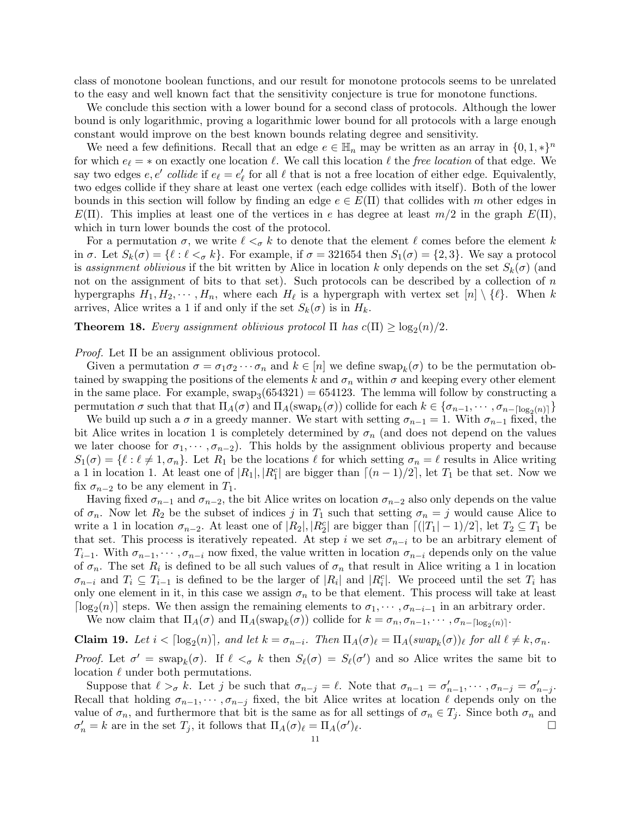class of monotone boolean functions, and our result for monotone protocols seems to be unrelated to the easy and well known fact that the sensitivity conjecture is true for monotone functions.

We conclude this section with a lower bound for a second class of protocols. Although the lower bound is only logarithmic, proving a logarithmic lower bound for all protocols with a large enough constant would improve on the best known bounds relating degree and sensitivity.

We need a few definitions. Recall that an edge  $e \in \mathbb{H}_n$  may be written as an array in  $\{0, 1, *\}^n$ for which  $e_{\ell} = \ast$  on exactly one location  $\ell$ . We call this location  $\ell$  the free location of that edge. We say two edges  $e, e'$  collide if  $e_{\ell} = e'_{\ell}$  for all  $\ell$  that is not a free location of either edge. Equivalently, two edges collide if they share at least one vertex (each edge collides with itself). Both of the lower bounds in this section will follow by finding an edge  $e \in E(\Pi)$  that collides with m other edges in  $E(\Pi)$ . This implies at least one of the vertices in e has degree at least  $m/2$  in the graph  $E(\Pi)$ , which in turn lower bounds the cost of the protocol.

For a permutation  $\sigma$ , we write  $\ell <_{\sigma} k$  to denote that the element  $\ell$  comes before the element k in  $\sigma$ . Let  $S_k(\sigma) = \{\ell : \ell <_{\sigma} k\}$ . For example, if  $\sigma = 321654$  then  $S_1(\sigma) = \{2,3\}$ . We say a protocol is assignment oblivious if the bit written by Alice in location k only depends on the set  $S_k(\sigma)$  (and not on the assignment of bits to that set). Such protocols can be described by a collection of  $n$ hypergraphs  $H_1, H_2, \cdots, H_n$ , where each  $H_\ell$  is a hypergraph with vertex set  $[n] \setminus {\ell}$ . When k arrives, Alice writes a 1 if and only if the set  $S_k(\sigma)$  is in  $H_k$ .

# **Theorem 18.** Every assignment oblivious protocol  $\Pi$  has  $c(\Pi) \ge \log_2(n)/2$ .

Proof. Let Π be an assignment oblivious protocol.

Given a permutation  $\sigma = \sigma_1 \sigma_2 \cdots \sigma_n$  and  $k \in [n]$  we define swap $_k(\sigma)$  to be the permutation obtained by swapping the positions of the elements k and  $\sigma_n$  within  $\sigma$  and keeping every other element in the same place. For example,  $swap_3(654321) = 654123$ . The lemma will follow by constructing a permutation  $\sigma$  such that that  $\Pi_A(\sigma)$  and  $\Pi_A(\text{swap}_k(\sigma))$  collide for each  $k \in {\{\sigma_{n-1}, \cdots, \sigma_{n-[\log_2(n)]}\}}$ 

We build up such a  $\sigma$  in a greedy manner. We start with setting  $\sigma_{n-1} = 1$ . With  $\sigma_{n-1}$  fixed, the bit Alice writes in location 1 is completely determined by  $\sigma_n$  (and does not depend on the values we later choose for  $\sigma_1, \cdots, \sigma_{n-2}$ . This holds by the assignment oblivious property and because  $S_1(\sigma) = \{\ell : \ell \neq 1, \sigma_n\}.$  Let  $R_1$  be the locations  $\ell$  for which setting  $\sigma_n = \ell$  results in Alice writing a 1 in location 1. At least one of  $|R_1|, |R_1^c|$  are bigger than  $\lceil (n-1)/2 \rceil$ , let  $T_1$  be that set. Now we fix  $\sigma_{n-2}$  to be any element in  $T_1$ .

Having fixed  $\sigma_{n-1}$  and  $\sigma_{n-2}$ , the bit Alice writes on location  $\sigma_{n-2}$  also only depends on the value of  $\sigma_n$ . Now let  $R_2$  be the subset of indices j in  $T_1$  such that setting  $\sigma_n = j$  would cause Alice to write a 1 in location  $\sigma_{n-2}$ . At least one of  $|R_2|, |R_2^c|$  are bigger than  $\lceil (|T_1| - 1)/2 \rceil$ , let  $T_2 \subseteq T_1$  be that set. This process is iteratively repeated. At step i we set  $\sigma_{n-i}$  to be an arbitrary element of  $T_{i-1}$ . With  $\sigma_{n-1}, \cdots, \sigma_{n-i}$  now fixed, the value written in location  $\sigma_{n-i}$  depends only on the value of  $\sigma_n$ . The set  $R_i$  is defined to be all such values of  $\sigma_n$  that result in Alice writing a 1 in location  $\sigma_{n-i}$  and  $T_i \subseteq T_{i-1}$  is defined to be the larger of  $|R_i|$  and  $|R_i^c|$ . We proceed until the set  $T_i$  has only one element in it, in this case we assign  $\sigma_n$  to be that element. This process will take at least  $\lceil \log_2(n) \rceil$  steps. We then assign the remaining elements to  $\sigma_1, \dots, \sigma_{n-i-1}$  in an arbitrary order.

We now claim that  $\Pi_A(\sigma)$  and  $\Pi_A(\text{swap}_k(\sigma))$  collide for  $k = \sigma_n, \sigma_{n-1}, \cdots, \sigma_{n-\lceil \log_2(n) \rceil}$ .

**Claim 19.** Let  $i < \lceil \log_2(n) \rceil$ , and let  $k = \sigma_{n-i}$ . Then  $\Pi_A(\sigma)_{\ell} = \Pi_A(swap_k(\sigma))_{\ell}$  for all  $\ell \neq k, \sigma_n$ .

*Proof.* Let  $\sigma' = \text{swap}_k(\sigma)$ . If  $\ell <_{\sigma} k$  then  $S_{\ell}(\sigma) = S_{\ell}(\sigma')$  and so Alice writes the same bit to location  $\ell$  under both permutations.

Suppose that  $\ell >_{\sigma} k$ . Let j be such that  $\sigma_{n-j} = \ell$ . Note that  $\sigma_{n-1} = \sigma'_{n-1}, \cdots, \sigma_{n-j} = \sigma'_{n-j}$ . Recall that holding  $\sigma_{n-1}, \cdots, \sigma_{n-j}$  fixed, the bit Alice writes at location  $\ell$  depends only on the value of  $\sigma_n$ , and furthermore that bit is the same as for all settings of  $\sigma_n \in T_j$ . Since both  $\sigma_n$  and  $\sigma'_{n} = k$  are in the set  $T_j$ , it follows that  $\Pi_A(\sigma)_{\ell} = \Pi_A(\sigma')_{\ell}$ .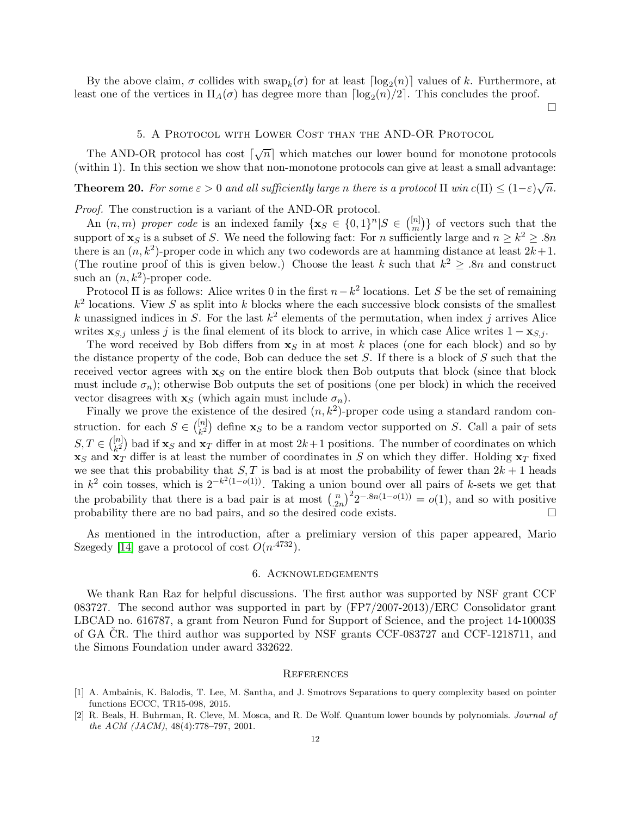By the above claim,  $\sigma$  collides with  $\text{swap}_k(\sigma)$  for at least  $\lceil \log_2(n) \rceil$  values of k. Furthermore, at least one of the vertices in  $\Pi_A(\sigma)$  has degree more than  $\lceil \log_2(n)/2 \rceil$ . This concludes the proof.

 $\Box$ 

### 5. A Protocol with Lower Cost than the AND-OR Protocol

<span id="page-11-2"></span>The AND-OR protocol has cost  $\lceil \sqrt{n} \rceil$  which matches our lower bound for monotone protocols (within 1). In this section we show that non-monotone protocols can give at least a small advantage:

**Theorem 20.** For some  $\varepsilon > 0$  and all sufficiently large n there is a protocol  $\Pi$  win  $c(\Pi) \leq (1-\varepsilon)\sqrt{n}$ .

Proof. The construction is a variant of the AND-OR protocol.

An  $(n, m)$  proper code is an indexed family  $\{ \mathbf{x}_S \in \{0, 1\}^n | S \in \binom{[n]}{m} \}$  $\binom{[n]}{m}$  of vectors such that the support of  $\mathbf{x}_S$  is a subset of S. We need the following fact: For n sufficiently large and  $n \geq k^2 \geq 0.8n$ there is an  $(n, k^2)$ -proper code in which any two codewords are at hamming distance at least  $2k+1$ . (The routine proof of this is given below.) Choose the least k such that  $k^2 \geq 0.8n$  and construct such an  $(n, k^2)$ -proper code.

Protocol  $\Pi$  is as follows: Alice writes 0 in the first  $n-k^2$  locations. Let S be the set of remaining  $k^2$  locations. View S as split into k blocks where the each successive block consists of the smallest k unassigned indices in S. For the last  $k^2$  elements of the permutation, when index j arrives Alice writes  $\mathbf{x}_{S,j}$  unless j is the final element of its block to arrive, in which case Alice writes  $1 - \mathbf{x}_{S,j}$ .

The word received by Bob differs from  $x<sub>S</sub>$  in at most k places (one for each block) and so by the distance property of the code, Bob can deduce the set  $S$ . If there is a block of  $S$  such that the received vector agrees with  $\mathbf{x}_S$  on the entire block then Bob outputs that block (since that block must include  $\sigma_n$ ); otherwise Bob outputs the set of positions (one per block) in which the received vector disagrees with  $\mathbf{x}_S$  (which again must include  $\sigma_n$ ).

Finally we prove the existence of the desired  $(n, k^2)$ -proper code using a standard random construction. for each  $S \in \binom{[n]}{k^2}$  define  $\mathbf{x}_S$  to be a random vector supported on S. Call a pair of sets  $S, T \in \binom{[n]}{k^2}$  bad if  $\mathbf{x}_S$  and  $\mathbf{x}_T$  differ in at most  $2k+1$  positions. The number of coordinates on which  $x_S$  and  $x_T$  differ is at least the number of coordinates in S on which they differ. Holding  $x_T$  fixed we see that this probability that  $S, T$  is bad is at most the probability of fewer than  $2k + 1$  heads in  $k^2$  coin tosses, which is  $2^{-k^2(1-o(1))}$ . Taking a union bound over all pairs of k-sets we get that the probability that there is a bad pair is at most  $\binom{n}{2}$  $\binom{n}{2n}^2 2^{-.8n(1-o(1))} = o(1)$ , and so with positive probability there are no bad pairs, and so the desired code exists.

As mentioned in the introduction, after a prelimiary version of this paper appeared, Mario Szegedy [\[14\]](#page-12-8) gave a protocol of cost  $O(n^{.4732})$ .

## 6. Acknowledgements

We thank Ran Raz for helpful discussions. The first author was supported by NSF grant CCF 083727. The second author was supported in part by (FP7/2007-2013)/ERC Consolidator grant LBCAD no. 616787, a grant from Neuron Fund for Support of Science, and the project 14-10003S of GA CR. The third author was supported by NSF grants CCF-083727 and CCF-1218711, and the Simons Foundation under award 332622.

### **REFERENCES**

<span id="page-11-1"></span><sup>[1]</sup> A. Ambainis, K. Balodis, T. Lee, M. Santha, and J. Smotrovs Separations to query complexity based on pointer functions ECCC, TR15-098, 2015.

<span id="page-11-0"></span><sup>[2]</sup> R. Beals, H. Buhrman, R. Cleve, M. Mosca, and R. De Wolf. Quantum lower bounds by polynomials. Journal of the ACM (JACM), 48(4):778–797, 2001.